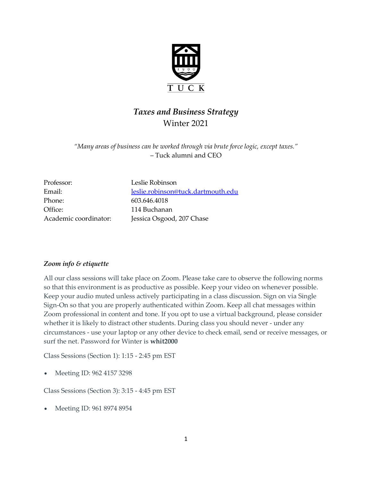

# *Taxes and Business Strategy* Winter 2021

*"Many areas of business can be worked through via brute force logic, except taxes."* – Tuck alumni and CEO

Professor: Leslie Robinson Phone: 603.646.4018 Office: 114 Buchanan

Email: [leslie.robinson@tuck.dartmouth.edu](mailto:leslie.robinson@tuck.dartmouth.edu) Academic coordinator: Jessica Osgood, 207 Chase

# *Zoom info & etiquette*

All our class sessions will take place on Zoom. Please take care to observe the following norms so that this environment is as productive as possible. Keep your video on whenever possible. Keep your audio muted unless actively participating in a class discussion. Sign on via Single Sign-On so that you are properly authenticated within Zoom. Keep all chat messages within Zoom professional in content and tone. If you opt to use a virtual background, please consider whether it is likely to distract other students. During class you should never - under any circumstances - use your laptop or any other device to check email, send or receive messages, or surf the net. Password for Winter is **whit2000**

Class Sessions (Section 1): 1:15 - 2:45 pm EST

Meeting ID: 962 4157 3298

Class Sessions (Section 3): 3:15 - 4:45 pm EST

Meeting ID: 961 8974 8954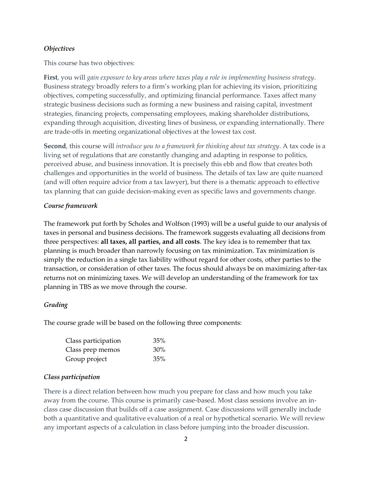#### *Objectives*

This course has two objectives:

**First**, you will *gain exposure to key areas where taxes play a role in implementing business strategy*. Business strategy broadly refers to a firm's working plan for achieving its vision, prioritizing objectives, competing successfully, and optimizing financial performance. Taxes affect many strategic business decisions such as forming a new business and raising capital, investment strategies, financing projects, compensating employees, making shareholder distributions, expanding through acquisition, divesting lines of business, or expanding internationally. There are trade-offs in meeting organizational objectives at the lowest tax cost.

**Second**, this course will *introduce you to a framework for thinking about tax strategy*. A tax code is a living set of regulations that are constantly changing and adapting in response to politics, perceived abuse, and business innovation. It is precisely this ebb and flow that creates both challenges and opportunities in the world of business. The details of tax law are quite nuanced (and will often require advice from a tax lawyer), but there is a thematic approach to effective tax planning that can guide decision-making even as specific laws and governments change.

#### *Course framework*

The framework put forth by Scholes and Wolfson (1993) will be a useful guide to our analysis of taxes in personal and business decisions. The framework suggests evaluating all decisions from three perspectives: **all taxes, all parties, and all costs**. The key idea is to remember that tax planning is much broader than narrowly focusing on tax minimization. Tax minimization is simply the reduction in a single tax liability without regard for other costs, other parties to the transaction, or consideration of other taxes. The focus should always be on maximizing after-tax returns not on minimizing taxes. We will develop an understanding of the framework for tax planning in TBS as we move through the course.

#### *Grading*

The course grade will be based on the following three components:

| Class participation | 35%    |
|---------------------|--------|
| Class prep memos    | $30\%$ |
| Group project       | 35%    |

#### *Class participation*

There is a direct relation between how much you prepare for class and how much you take away from the course. This course is primarily case-based. Most class sessions involve an inclass case discussion that builds off a case assignment. Case discussions will generally include both a quantitative and qualitative evaluation of a real or hypothetical scenario. We will review any important aspects of a calculation in class before jumping into the broader discussion.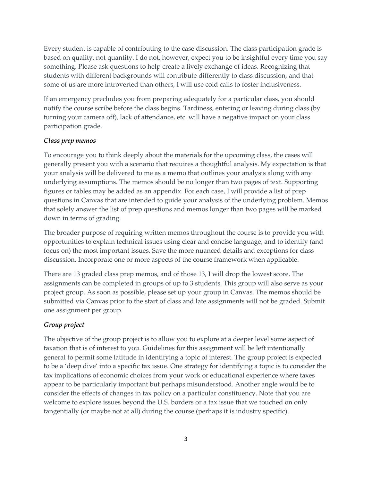Every student is capable of contributing to the case discussion. The class participation grade is based on quality, not quantity. I do not, however, expect you to be insightful every time you say something. Please ask questions to help create a lively exchange of ideas. Recognizing that students with different backgrounds will contribute differently to class discussion, and that some of us are more introverted than others, I will use cold calls to foster inclusiveness.

If an emergency precludes you from preparing adequately for a particular class, you should notify the course scribe before the class begins. Tardiness, entering or leaving during class (by turning your camera off), lack of attendance, etc. will have a negative impact on your class participation grade.

# *Class prep memos*

To encourage you to think deeply about the materials for the upcoming class, the cases will generally present you with a scenario that requires a thoughtful analysis. My expectation is that your analysis will be delivered to me as a memo that outlines your analysis along with any underlying assumptions. The memos should be no longer than two pages of text. Supporting figures or tables may be added as an appendix. For each case, I will provide a list of prep questions in Canvas that are intended to guide your analysis of the underlying problem. Memos that solely answer the list of prep questions and memos longer than two pages will be marked down in terms of grading.

The broader purpose of requiring written memos throughout the course is to provide you with opportunities to explain technical issues using clear and concise language, and to identify (and focus on) the most important issues. Save the more nuanced details and exceptions for class discussion. Incorporate one or more aspects of the course framework when applicable.

There are 13 graded class prep memos, and of those 13, I will drop the lowest score. The assignments can be completed in groups of up to 3 students. This group will also serve as your project group. As soon as possible, please set up your group in Canvas. The memos should be submitted via Canvas prior to the start of class and late assignments will not be graded. Submit one assignment per group.

# *Group project*

The objective of the group project is to allow you to explore at a deeper level some aspect of taxation that is of interest to you. Guidelines for this assignment will be left intentionally general to permit some latitude in identifying a topic of interest. The group project is expected to be a 'deep dive' into a specific tax issue. One strategy for identifying a topic is to consider the tax implications of economic choices from your work or educational experience where taxes appear to be particularly important but perhaps misunderstood. Another angle would be to consider the effects of changes in tax policy on a particular constituency. Note that you are welcome to explore issues beyond the U.S. borders or a tax issue that we touched on only tangentially (or maybe not at all) during the course (perhaps it is industry specific).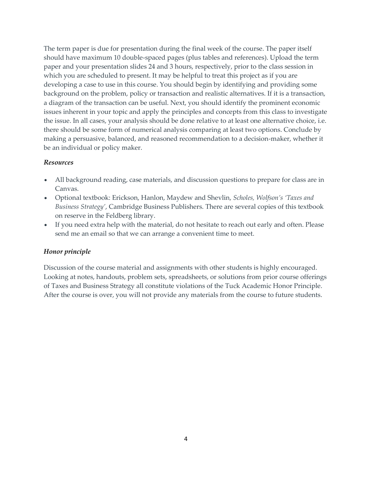The term paper is due for presentation during the final week of the course. The paper itself should have maximum 10 double-spaced pages (plus tables and references). Upload the term paper and your presentation slides 24 and 3 hours, respectively, prior to the class session in which you are scheduled to present. It may be helpful to treat this project as if you are developing a case to use in this course. You should begin by identifying and providing some background on the problem, policy or transaction and realistic alternatives. If it is a transaction, a diagram of the transaction can be useful. Next, you should identify the prominent economic issues inherent in your topic and apply the principles and concepts from this class to investigate the issue. In all cases, your analysis should be done relative to at least one alternative choice, i.e. there should be some form of numerical analysis comparing at least two options. Conclude by making a persuasive, balanced, and reasoned recommendation to a decision-maker, whether it be an individual or policy maker.

#### *Resources*

- All background reading, case materials, and discussion questions to prepare for class are in Canvas.
- Optional textbook: Erickson, Hanlon, Maydew and Shevlin, *Scholes, Wolfson's 'Taxes and Business Strategy'*, Cambridge Business Publishers. There are several copies of this textbook on reserve in the Feldberg library.
- If you need extra help with the material, do not hesitate to reach out early and often. Please send me an email so that we can arrange a convenient time to meet.

# *Honor principle*

Discussion of the course material and assignments with other students is highly encouraged. Looking at notes, handouts, problem sets, spreadsheets, or solutions from prior course offerings of Taxes and Business Strategy all constitute violations of the Tuck Academic Honor Principle. After the course is over, you will not provide any materials from the course to future students.